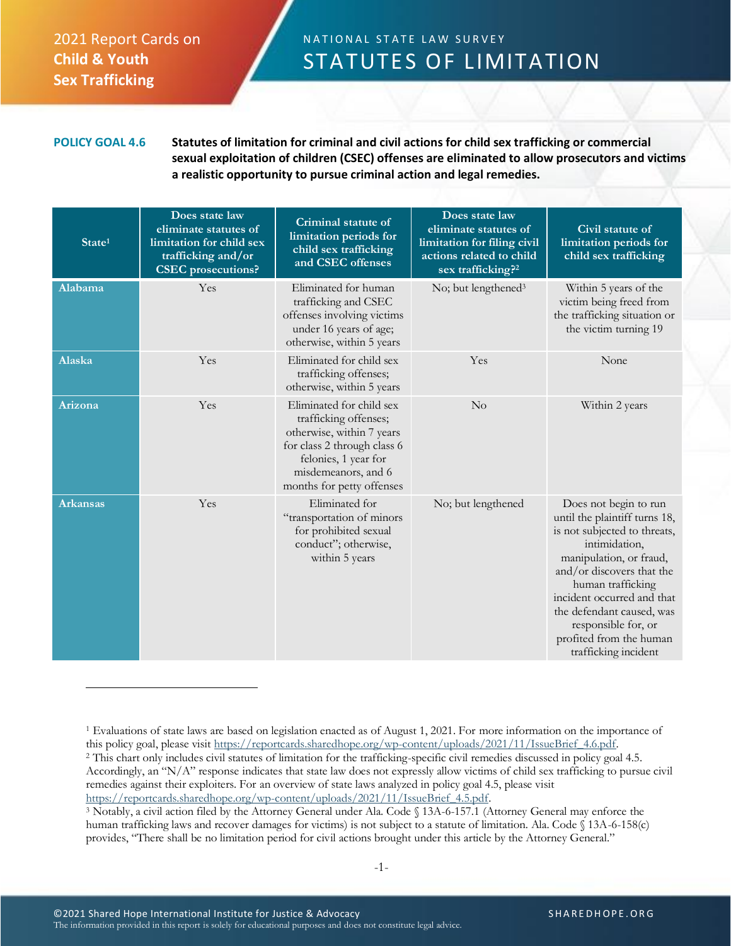## 2021 Report Cards on **Child & Youth Sex Trafficking**

## N A T I O N A L S T A T E L A W S U R V E Y STATUTES OF LIMITATION

**POLICY GOAL 4.6 Statutes of limitation for criminal and civil actions for child sex trafficking or commercial sexual exploitation of children (CSEC) offenses are eliminated to allow prosecutors and victims a realistic opportunity to pursue criminal action and legal remedies.**

| State <sup>1</sup> | Does state law<br>eliminate statutes of<br>limitation for child sex<br>trafficking and/or<br><b>CSEC</b> prosecutions? | Criminal statute of<br>limitation periods for<br>child sex trafficking<br>and CSEC offenses                                                                                               | Does state law<br>eliminate statutes of<br>limitation for filing civil<br>actions related to child<br>sex trafficking? <sup>2</sup> | Civil statute of<br>limitation periods for<br>child sex trafficking                                                                                                                                                                                                                                                       |
|--------------------|------------------------------------------------------------------------------------------------------------------------|-------------------------------------------------------------------------------------------------------------------------------------------------------------------------------------------|-------------------------------------------------------------------------------------------------------------------------------------|---------------------------------------------------------------------------------------------------------------------------------------------------------------------------------------------------------------------------------------------------------------------------------------------------------------------------|
| Alabama            | Yes                                                                                                                    | Eliminated for human<br>trafficking and CSEC<br>offenses involving victims<br>under 16 years of age;<br>otherwise, within 5 years                                                         | No; but lengthened <sup>3</sup>                                                                                                     | Within 5 years of the<br>victim being freed from<br>the trafficking situation or<br>the victim turning 19                                                                                                                                                                                                                 |
| <b>Alaska</b>      | Yes                                                                                                                    | Eliminated for child sex<br>trafficking offenses;<br>otherwise, within 5 years                                                                                                            | Yes                                                                                                                                 | None                                                                                                                                                                                                                                                                                                                      |
| Arizona            | Yes                                                                                                                    | Eliminated for child sex<br>trafficking offenses;<br>otherwise, within 7 years<br>for class 2 through class 6<br>felonies, 1 year for<br>misdemeanors, and 6<br>months for petty offenses | $\rm No$                                                                                                                            | Within 2 years                                                                                                                                                                                                                                                                                                            |
| Arkansas           | Yes                                                                                                                    | Eliminated for<br>"transportation of minors<br>for prohibited sexual<br>conduct"; otherwise,<br>within 5 years                                                                            | No; but lengthened                                                                                                                  | Does not begin to run<br>until the plaintiff turns 18,<br>is not subjected to threats,<br>intimidation,<br>manipulation, or fraud,<br>and/or discovers that the<br>human trafficking<br>incident occurred and that<br>the defendant caused, was<br>responsible for, or<br>profited from the human<br>trafficking incident |

<sup>1</sup> Evaluations of state laws are based on legislation enacted as of August 1, 2021. For more information on the importance of this policy goal, please visit [https://reportcards.sharedhope.org/wp-content/uploads/2021/11/IssueBrief\\_4.6.pdf.](https://reportcards.sharedhope.org/wp-content/uploads/2021/11/IssueBrief_4.6.pdf) <sup>2</sup> This chart only includes civil statutes of limitation for the trafficking-specific civil remedies discussed in policy goal 4.5. Accordingly, an "N/A" response indicates that state law does not expressly allow victims of child sex trafficking to pursue civil remedies against their exploiters. For an overview of state laws analyzed in policy goal 4.5, please visit [https://reportcards.sharedhope.org/wp-content/uploads/2021/11/IssueBrief\\_4.5.pdf.](https://reportcards.sharedhope.org/wp-content/uploads/2021/11/IssueBrief_4.5.pdf)

<sup>3</sup> Notably, a civil action filed by the Attorney General under Ala. Code § 13A-6-157.1 (Attorney General may enforce the human trafficking laws and recover damages for victims) is not subject to a statute of limitation. Ala. Code § 13A-6-158(c) provides, "There shall be no limitation period for civil actions brought under this article by the Attorney General."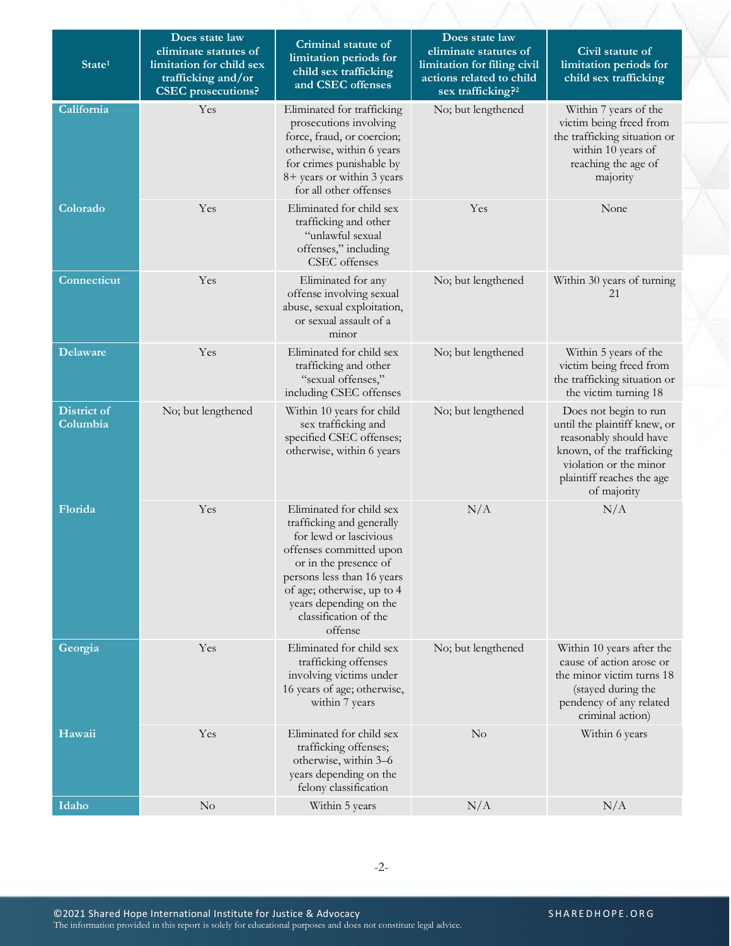| State <sup>1</sup>      | Does state law<br>eliminate statutes of<br>limitation for child sex<br>trafficking and/or<br><b>CSEC</b> prosecutions? | Criminal statute of<br>limitation periods for<br>child sex trafficking<br>and CSEC offenses                                                                                                                                                                   | Does state law<br>eliminate statutes of<br>limitation for filing civil<br>actions related to child<br>sex trafficking? <sup>2</sup> | Civil statute of<br>limitation periods for<br>child sex trafficking                                                                                                                |
|-------------------------|------------------------------------------------------------------------------------------------------------------------|---------------------------------------------------------------------------------------------------------------------------------------------------------------------------------------------------------------------------------------------------------------|-------------------------------------------------------------------------------------------------------------------------------------|------------------------------------------------------------------------------------------------------------------------------------------------------------------------------------|
| California              | Yes                                                                                                                    | Eliminated for trafficking<br>prosecutions involving<br>force, fraud, or coercion;<br>otherwise, within 6 years<br>for crimes punishable by<br>8+ years or within 3 years<br>for all other offenses                                                           | No; but lengthened                                                                                                                  | Within 7 years of the<br>victim being freed from<br>the trafficking situation or<br>within 10 years of<br>reaching the age of<br>majority                                          |
| Colorado                | Yes                                                                                                                    | Eliminated for child sex<br>trafficking and other<br>"unlawful sexual<br>offenses," including<br>CSEC offenses                                                                                                                                                | Yes                                                                                                                                 | None                                                                                                                                                                               |
| Connecticut             | Yes                                                                                                                    | Eliminated for any<br>offense involving sexual<br>abuse, sexual exploitation,<br>or sexual assault of a<br>minor                                                                                                                                              | No; but lengthened                                                                                                                  | Within 30 years of turning<br>21                                                                                                                                                   |
| <b>Delaware</b>         | Yes                                                                                                                    | Eliminated for child sex<br>trafficking and other<br>"sexual offenses,"<br>including CSEC offenses                                                                                                                                                            | No; but lengthened                                                                                                                  | Within 5 years of the<br>victim being freed from<br>the trafficking situation or<br>the victim turning 18                                                                          |
| District of<br>Columbia | No; but lengthened                                                                                                     | Within 10 years for child<br>sex trafficking and<br>specified CSEC offenses;<br>otherwise, within 6 years                                                                                                                                                     | No; but lengthened                                                                                                                  | Does not begin to run<br>until the plaintiff knew, or<br>reasonably should have<br>known, of the trafficking<br>violation or the minor<br>plaintiff reaches the age<br>of majority |
| Florida                 | Yes                                                                                                                    | Eliminated for child sex<br>trafficking and generally<br>for lewd or lascivious<br>offenses committed upon<br>or in the presence of<br>persons less than 16 years<br>of age; otherwise, up to 4<br>years depending on the<br>classification of the<br>offense | N/A                                                                                                                                 | N/A                                                                                                                                                                                |
| Georgia                 | Yes                                                                                                                    | Eliminated for child sex<br>trafficking offenses<br>involving victims under<br>16 years of age; otherwise,<br>within 7 years                                                                                                                                  | No; but lengthened                                                                                                                  | Within 10 years after the<br>cause of action arose or<br>the minor victim turns 18<br>(stayed during the<br>pendency of any related<br>criminal action)                            |
| Hawaii                  | Yes                                                                                                                    | Eliminated for child sex<br>trafficking offenses;<br>otherwise, within 3-6<br>years depending on the<br>felony classification                                                                                                                                 | $\rm No$                                                                                                                            | Within 6 years                                                                                                                                                                     |
| Idaho                   | $\rm No$                                                                                                               | Within 5 years                                                                                                                                                                                                                                                | N/A                                                                                                                                 | N/A                                                                                                                                                                                |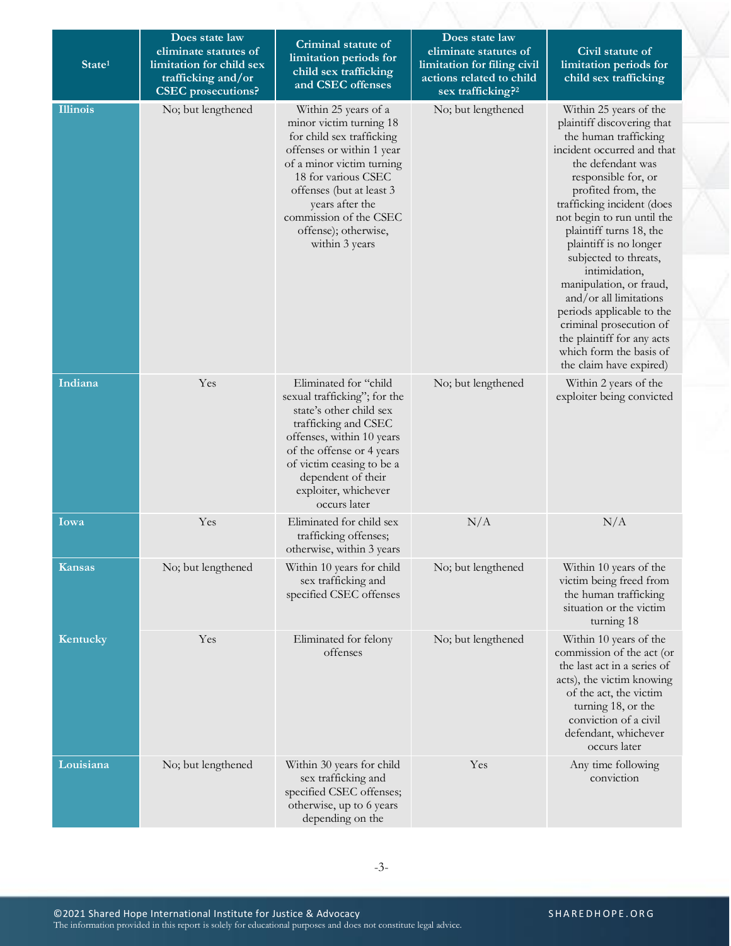| State <sup>1</sup> | Does state law<br>eliminate statutes of<br>limitation for child sex<br>trafficking and/or<br><b>CSEC</b> prosecutions? | Criminal statute of<br>limitation periods for<br>child sex trafficking<br>and CSEC offenses                                                                                                                                                                                      | Does state law<br>eliminate statutes of<br>limitation for filing civil<br>actions related to child<br>sex trafficking? <sup>2</sup> | Civil statute of<br>limitation periods for<br>child sex trafficking                                                                                                                                                                                                                                                                                                                                                                                                                                                                       |
|--------------------|------------------------------------------------------------------------------------------------------------------------|----------------------------------------------------------------------------------------------------------------------------------------------------------------------------------------------------------------------------------------------------------------------------------|-------------------------------------------------------------------------------------------------------------------------------------|-------------------------------------------------------------------------------------------------------------------------------------------------------------------------------------------------------------------------------------------------------------------------------------------------------------------------------------------------------------------------------------------------------------------------------------------------------------------------------------------------------------------------------------------|
| <b>Illinois</b>    | No; but lengthened                                                                                                     | Within 25 years of a<br>minor victim turning 18<br>for child sex trafficking<br>offenses or within 1 year<br>of a minor victim turning<br>18 for various CSEC<br>offenses (but at least 3<br>years after the<br>commission of the CSEC<br>offense); otherwise,<br>within 3 years | No; but lengthened                                                                                                                  | Within 25 years of the<br>plaintiff discovering that<br>the human trafficking<br>incident occurred and that<br>the defendant was<br>responsible for, or<br>profited from, the<br>trafficking incident (does<br>not begin to run until the<br>plaintiff turns 18, the<br>plaintiff is no longer<br>subjected to threats,<br>intimidation,<br>manipulation, or fraud,<br>and/or all limitations<br>periods applicable to the<br>criminal prosecution of<br>the plaintiff for any acts<br>which form the basis of<br>the claim have expired) |
| Indiana            | Yes                                                                                                                    | Eliminated for "child<br>sexual trafficking"; for the<br>state's other child sex<br>trafficking and CSEC<br>offenses, within 10 years<br>of the offense or 4 years<br>of victim ceasing to be a<br>dependent of their<br>exploiter, whichever<br>occurs later                    | No; but lengthened                                                                                                                  | Within 2 years of the<br>exploiter being convicted                                                                                                                                                                                                                                                                                                                                                                                                                                                                                        |
| Iowa               | Yes                                                                                                                    | Eliminated for child sex<br>trafficking offenses;<br>otherwise, within 3 years                                                                                                                                                                                                   | N/A                                                                                                                                 | N/A                                                                                                                                                                                                                                                                                                                                                                                                                                                                                                                                       |
| Kansas             | No; but lengthened                                                                                                     | Within 10 years for child<br>sex trafficking and<br>specified CSEC offenses                                                                                                                                                                                                      | No; but lengthened                                                                                                                  | Within 10 years of the<br>victim being freed from<br>the human trafficking<br>situation or the victim<br>turning 18                                                                                                                                                                                                                                                                                                                                                                                                                       |
| Kentucky           | Yes                                                                                                                    | Eliminated for felony<br>offenses                                                                                                                                                                                                                                                | No; but lengthened                                                                                                                  | Within 10 years of the<br>commission of the act (or<br>the last act in a series of<br>acts), the victim knowing<br>of the act, the victim<br>turning 18, or the<br>conviction of a civil<br>defendant, whichever<br>occurs later                                                                                                                                                                                                                                                                                                          |
| Louisiana          | No; but lengthened                                                                                                     | Within 30 years for child<br>sex trafficking and<br>specified CSEC offenses;<br>otherwise, up to 6 years<br>depending on the                                                                                                                                                     | Yes                                                                                                                                 | Any time following<br>conviction                                                                                                                                                                                                                                                                                                                                                                                                                                                                                                          |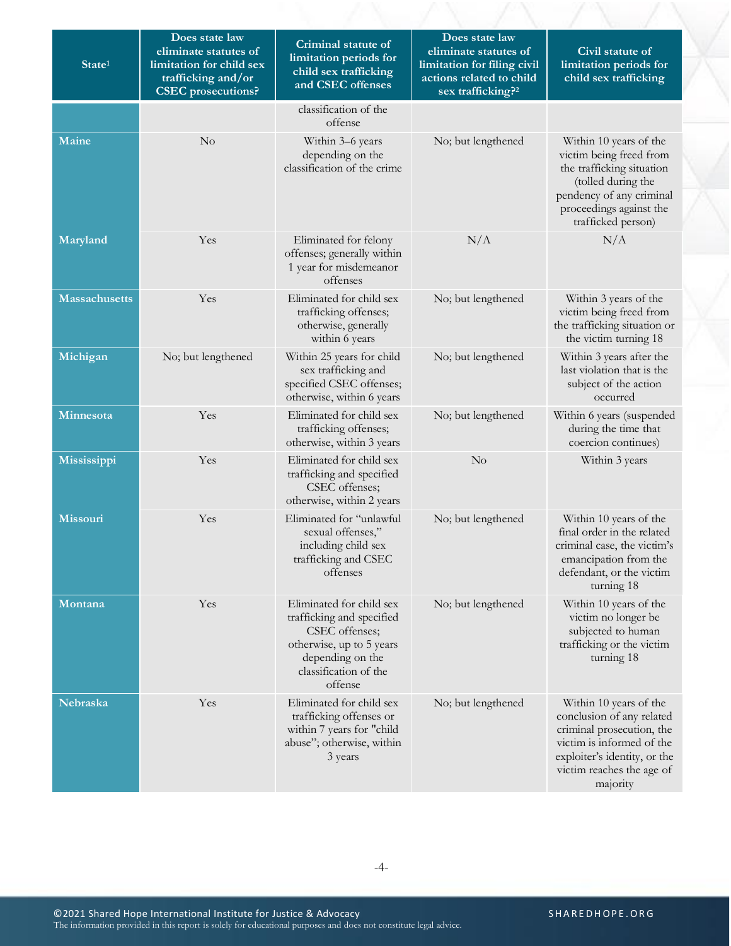| State <sup>1</sup>   | Does state law<br>eliminate statutes of<br>limitation for child sex<br>trafficking and/or<br><b>CSEC</b> prosecutions? | Criminal statute of<br>limitation periods for<br>child sex trafficking<br>and CSEC offenses                                                                 | Does state law<br>eliminate statutes of<br>limitation for filing civil<br>actions related to child<br>sex trafficking? <sup>2</sup> | Civil statute of<br>limitation periods for<br>child sex trafficking                                                                                                                    |
|----------------------|------------------------------------------------------------------------------------------------------------------------|-------------------------------------------------------------------------------------------------------------------------------------------------------------|-------------------------------------------------------------------------------------------------------------------------------------|----------------------------------------------------------------------------------------------------------------------------------------------------------------------------------------|
|                      |                                                                                                                        | classification of the<br>offense                                                                                                                            |                                                                                                                                     |                                                                                                                                                                                        |
| Maine                | No                                                                                                                     | Within 3-6 years<br>depending on the<br>classification of the crime                                                                                         | No; but lengthened                                                                                                                  | Within 10 years of the<br>victim being freed from<br>the trafficking situation<br>(tolled during the<br>pendency of any criminal<br>proceedings against the<br>trafficked person)      |
| Maryland             | Yes                                                                                                                    | Eliminated for felony<br>offenses; generally within<br>1 year for misdemeanor<br>offenses                                                                   | N/A                                                                                                                                 | N/A                                                                                                                                                                                    |
| <b>Massachusetts</b> | Yes                                                                                                                    | Eliminated for child sex<br>trafficking offenses;<br>otherwise, generally<br>within 6 years                                                                 | No; but lengthened                                                                                                                  | Within 3 years of the<br>victim being freed from<br>the trafficking situation or<br>the victim turning 18                                                                              |
| Michigan             | No; but lengthened                                                                                                     | Within 25 years for child<br>sex trafficking and<br>specified CSEC offenses;<br>otherwise, within 6 years                                                   | No; but lengthened                                                                                                                  | Within 3 years after the<br>last violation that is the<br>subject of the action<br>occurred                                                                                            |
| Minnesota            | Yes                                                                                                                    | Eliminated for child sex<br>trafficking offenses;<br>otherwise, within 3 years                                                                              | No; but lengthened                                                                                                                  | Within 6 years (suspended<br>during the time that<br>coercion continues)                                                                                                               |
| Mississippi          | Yes                                                                                                                    | Eliminated for child sex<br>trafficking and specified<br>CSEC offenses;<br>otherwise, within 2 years                                                        | No                                                                                                                                  | Within 3 years                                                                                                                                                                         |
| Missouri             | Yes                                                                                                                    | Eliminated for "unlawful<br>sexual offenses,"<br>including child sex<br>trafficking and CSEC<br>offenses                                                    | No; but lengthened                                                                                                                  | Within 10 years of the<br>final order in the related<br>criminal case, the victim's<br>emancipation from the<br>defendant, or the victim<br>turning 18                                 |
| Montana              | Yes                                                                                                                    | Eliminated for child sex<br>trafficking and specified<br>CSEC offenses;<br>otherwise, up to 5 years<br>depending on the<br>classification of the<br>offense | No; but lengthened                                                                                                                  | Within 10 years of the<br>victim no longer be<br>subjected to human<br>trafficking or the victim<br>turning 18                                                                         |
| Nebraska             | Yes                                                                                                                    | Eliminated for child sex<br>trafficking offenses or<br>within 7 years for "child<br>abuse"; otherwise, within<br>3 years                                    | No; but lengthened                                                                                                                  | Within 10 years of the<br>conclusion of any related<br>criminal prosecution, the<br>victim is informed of the<br>exploiter's identity, or the<br>victim reaches the age of<br>majority |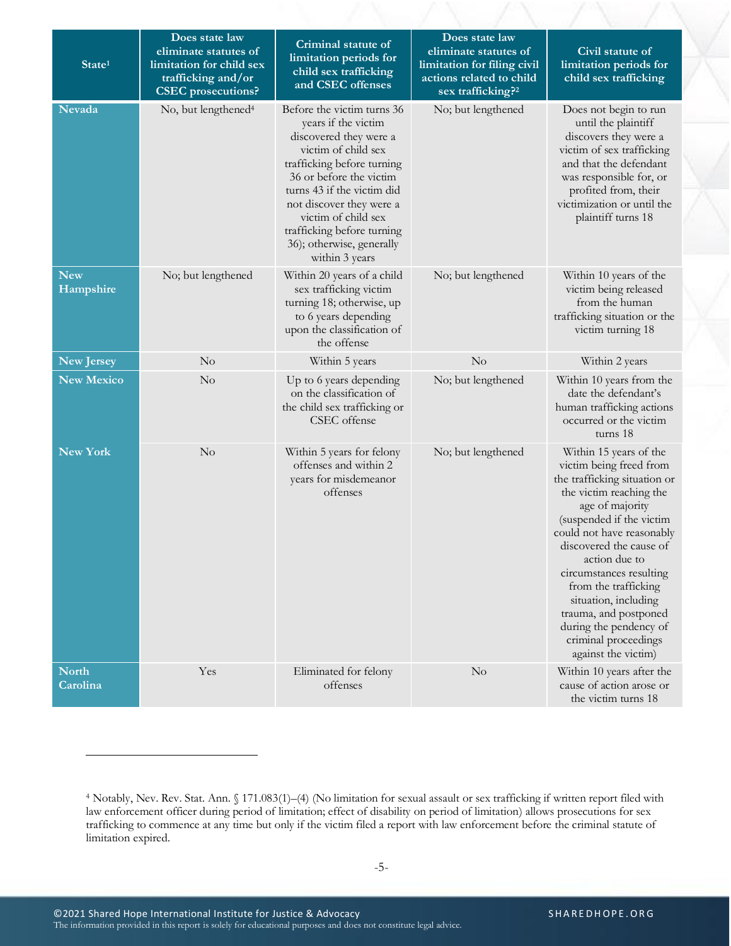| State <sup>1</sup>       | Does state law<br>eliminate statutes of<br>limitation for child sex<br>trafficking and/or<br><b>CSEC</b> prosecutions? | Criminal statute of<br>limitation periods for<br>child sex trafficking<br>and CSEC offenses                                                                                                                                                                                                                               | Does state law<br>eliminate statutes of<br>limitation for filing civil<br>actions related to child<br>sex trafficking? <sup>2</sup> | Civil statute of<br>limitation periods for<br>child sex trafficking                                                                                                                                                                                                                                                                                                                                               |
|--------------------------|------------------------------------------------------------------------------------------------------------------------|---------------------------------------------------------------------------------------------------------------------------------------------------------------------------------------------------------------------------------------------------------------------------------------------------------------------------|-------------------------------------------------------------------------------------------------------------------------------------|-------------------------------------------------------------------------------------------------------------------------------------------------------------------------------------------------------------------------------------------------------------------------------------------------------------------------------------------------------------------------------------------------------------------|
| Nevada                   | No, but lengthened <sup>4</sup>                                                                                        | Before the victim turns 36<br>years if the victim<br>discovered they were a<br>victim of child sex<br>trafficking before turning<br>36 or before the victim<br>turns 43 if the victim did<br>not discover they were a<br>victim of child sex<br>trafficking before turning<br>36); otherwise, generally<br>within 3 years | No; but lengthened                                                                                                                  | Does not begin to run<br>until the plaintiff<br>discovers they were a<br>victim of sex trafficking<br>and that the defendant<br>was responsible for, or<br>profited from, their<br>victimization or until the<br>plaintiff turns 18                                                                                                                                                                               |
| <b>New</b><br>Hampshire  | No; but lengthened                                                                                                     | Within 20 years of a child<br>sex trafficking victim<br>turning 18; otherwise, up<br>to 6 years depending<br>upon the classification of<br>the offense                                                                                                                                                                    | No; but lengthened                                                                                                                  | Within 10 years of the<br>victim being released<br>from the human<br>trafficking situation or the<br>victim turning 18                                                                                                                                                                                                                                                                                            |
| New Jersey               | No                                                                                                                     | Within 5 years                                                                                                                                                                                                                                                                                                            | No                                                                                                                                  | Within 2 years                                                                                                                                                                                                                                                                                                                                                                                                    |
| <b>New Mexico</b>        | No                                                                                                                     | Up to 6 years depending<br>on the classification of<br>the child sex trafficking or<br>CSEC offense                                                                                                                                                                                                                       | No; but lengthened                                                                                                                  | Within 10 years from the<br>date the defendant's<br>human trafficking actions<br>occurred or the victim<br>turns 18                                                                                                                                                                                                                                                                                               |
| <b>New York</b>          | No                                                                                                                     | Within 5 years for felony<br>offenses and within 2<br>years for misdemeanor<br>offenses                                                                                                                                                                                                                                   | No; but lengthened                                                                                                                  | Within 15 years of the<br>victim being freed from<br>the trafficking situation or<br>the victim reaching the<br>age of majority<br>(suspended if the victim<br>could not have reasonably<br>discovered the cause of<br>action due to<br>circumstances resulting<br>from the trafficking<br>situation, including<br>trauma, and postponed<br>during the pendency of<br>criminal proceedings<br>against the victim) |
| <b>North</b><br>Carolina | Yes                                                                                                                    | Eliminated for felony<br>offenses                                                                                                                                                                                                                                                                                         | $\rm No$                                                                                                                            | Within 10 years after the<br>cause of action arose or<br>the victim turns 18                                                                                                                                                                                                                                                                                                                                      |

<sup>4</sup> Notably, Nev. Rev. Stat. Ann. § 171.083(1)–(4) (No limitation for sexual assault or sex trafficking if written report filed with law enforcement officer during period of limitation; effect of disability on period of limitation) allows prosecutions for sex trafficking to commence at any time but only if the victim filed a report with law enforcement before the criminal statute of limitation expired.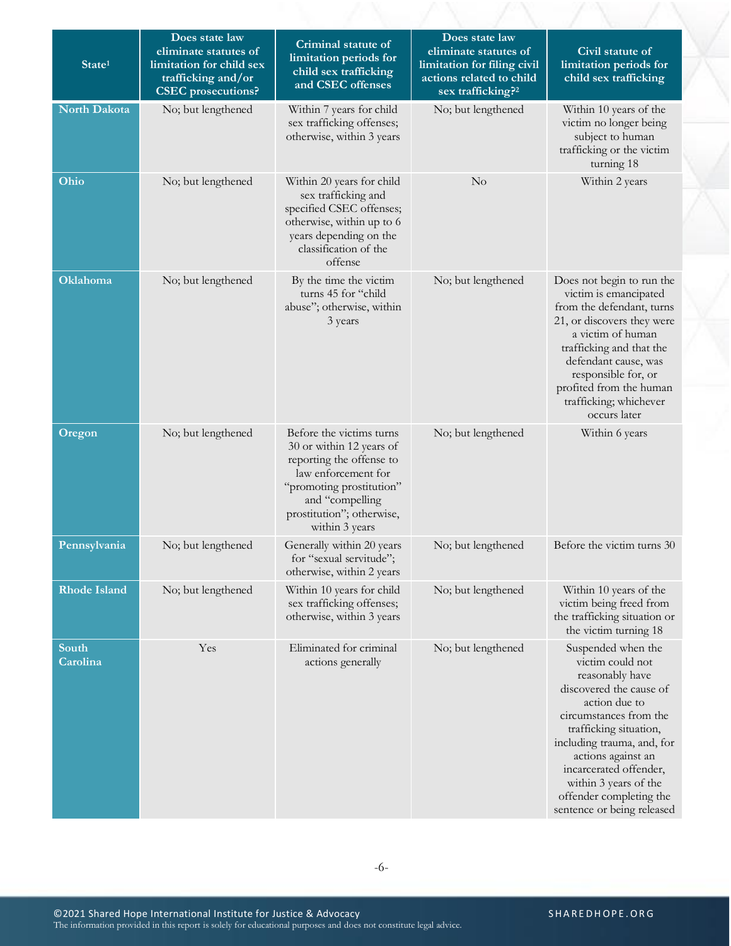| State <sup>1</sup>  | Does state law<br>eliminate statutes of<br>limitation for child sex<br>trafficking and/or<br><b>CSEC</b> prosecutions? | Criminal statute of<br>limitation periods for<br>child sex trafficking<br>and CSEC offenses                                                                                                           | Does state law<br>eliminate statutes of<br>limitation for filing civil<br>actions related to child<br>sex trafficking? <sup>2</sup> | Civil statute of<br>limitation periods for<br>child sex trafficking                                                                                                                                                                                                                                                       |
|---------------------|------------------------------------------------------------------------------------------------------------------------|-------------------------------------------------------------------------------------------------------------------------------------------------------------------------------------------------------|-------------------------------------------------------------------------------------------------------------------------------------|---------------------------------------------------------------------------------------------------------------------------------------------------------------------------------------------------------------------------------------------------------------------------------------------------------------------------|
| North Dakota        | No; but lengthened                                                                                                     | Within 7 years for child<br>sex trafficking offenses;<br>otherwise, within 3 years                                                                                                                    | No; but lengthened                                                                                                                  | Within 10 years of the<br>victim no longer being<br>subject to human<br>trafficking or the victim<br>turning 18                                                                                                                                                                                                           |
| Ohio                | No; but lengthened                                                                                                     | Within 20 years for child<br>sex trafficking and<br>specified CSEC offenses;<br>otherwise, within up to 6<br>years depending on the<br>classification of the<br>offense                               | $\rm No$                                                                                                                            | Within 2 years                                                                                                                                                                                                                                                                                                            |
| Oklahoma            | No; but lengthened                                                                                                     | By the time the victim<br>turns 45 for "child<br>abuse"; otherwise, within<br>3 years                                                                                                                 | No; but lengthened                                                                                                                  | Does not begin to run the<br>victim is emancipated<br>from the defendant, turns<br>21, or discovers they were<br>a victim of human<br>trafficking and that the<br>defendant cause, was<br>responsible for, or<br>profited from the human<br>trafficking; whichever<br>occurs later                                        |
| Oregon              | No; but lengthened                                                                                                     | Before the victims turns<br>30 or within 12 years of<br>reporting the offense to<br>law enforcement for<br>"promoting prostitution"<br>and "compelling<br>prostitution"; otherwise,<br>within 3 years | No; but lengthened                                                                                                                  | Within 6 years                                                                                                                                                                                                                                                                                                            |
| Pennsylvania        | No; but lengthened                                                                                                     | Generally within 20 years<br>for "sexual servitude";<br>otherwise, within 2 years                                                                                                                     | No; but lengthened                                                                                                                  | Before the victim turns 30                                                                                                                                                                                                                                                                                                |
| <b>Rhode Island</b> | No; but lengthened                                                                                                     | Within 10 years for child<br>sex trafficking offenses;<br>otherwise, within 3 years                                                                                                                   | No; but lengthened                                                                                                                  | Within 10 years of the<br>victim being freed from<br>the trafficking situation or<br>the victim turning 18                                                                                                                                                                                                                |
| South<br>Carolina   | Yes                                                                                                                    | Eliminated for criminal<br>actions generally                                                                                                                                                          | No; but lengthened                                                                                                                  | Suspended when the<br>victim could not<br>reasonably have<br>discovered the cause of<br>action due to<br>circumstances from the<br>trafficking situation,<br>including trauma, and, for<br>actions against an<br>incarcerated offender,<br>within 3 years of the<br>offender completing the<br>sentence or being released |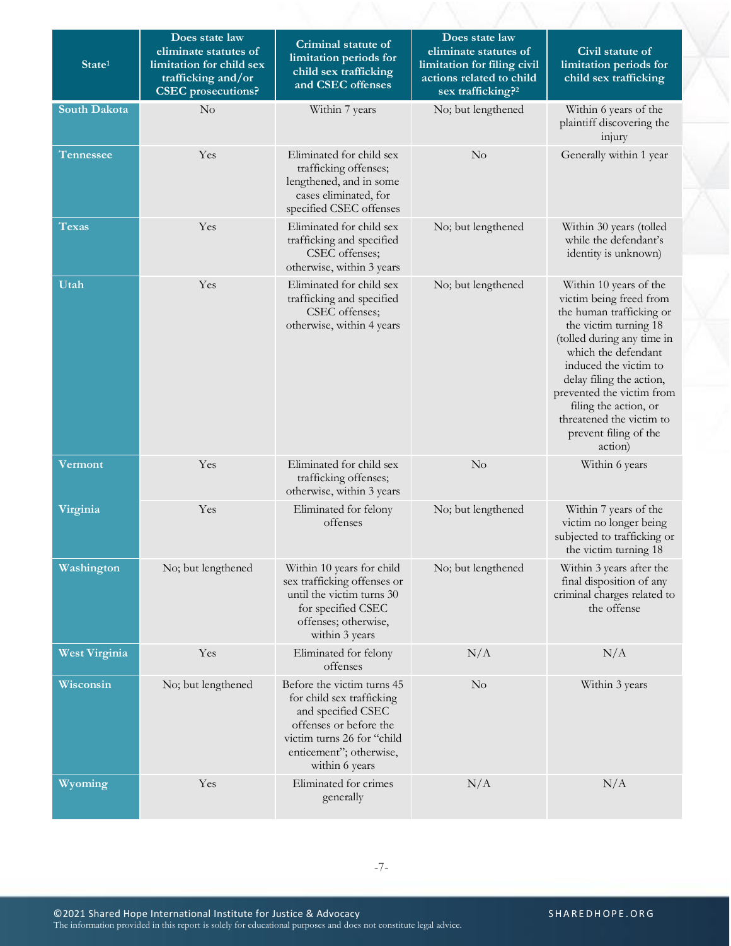| State <sup>1</sup>   | Does state law<br>eliminate statutes of<br>limitation for child sex<br>trafficking and/or<br><b>CSEC</b> prosecutions? | Criminal statute of<br>limitation periods for<br>child sex trafficking<br>and CSEC offenses                                                                                        | Does state law<br>eliminate statutes of<br>limitation for filing civil<br>actions related to child<br>sex trafficking? <sup>2</sup> | Civil statute of<br>limitation periods for<br>child sex trafficking                                                                                                                                                                                                                                                                    |
|----------------------|------------------------------------------------------------------------------------------------------------------------|------------------------------------------------------------------------------------------------------------------------------------------------------------------------------------|-------------------------------------------------------------------------------------------------------------------------------------|----------------------------------------------------------------------------------------------------------------------------------------------------------------------------------------------------------------------------------------------------------------------------------------------------------------------------------------|
| <b>South Dakota</b>  | No                                                                                                                     | Within 7 years                                                                                                                                                                     | No; but lengthened                                                                                                                  | Within 6 years of the<br>plaintiff discovering the<br>injury                                                                                                                                                                                                                                                                           |
| <b>Tennessee</b>     | Yes                                                                                                                    | Eliminated for child sex<br>trafficking offenses;<br>lengthened, and in some<br>cases eliminated, for<br>specified CSEC offenses                                                   | No                                                                                                                                  | Generally within 1 year                                                                                                                                                                                                                                                                                                                |
| <b>Texas</b>         | Yes                                                                                                                    | Eliminated for child sex<br>trafficking and specified<br>CSEC offenses;<br>otherwise, within 3 years                                                                               | No; but lengthened                                                                                                                  | Within 30 years (tolled<br>while the defendant's<br>identity is unknown)                                                                                                                                                                                                                                                               |
| Utah                 | Yes                                                                                                                    | Eliminated for child sex<br>trafficking and specified<br>CSEC offenses;<br>otherwise, within 4 years                                                                               | No; but lengthened                                                                                                                  | Within 10 years of the<br>victim being freed from<br>the human trafficking or<br>the victim turning 18<br>(tolled during any time in<br>which the defendant<br>induced the victim to<br>delay filing the action,<br>prevented the victim from<br>filing the action, or<br>threatened the victim to<br>prevent filing of the<br>action) |
| Vermont              | Yes                                                                                                                    | Eliminated for child sex<br>trafficking offenses;<br>otherwise, within 3 years                                                                                                     | No                                                                                                                                  | Within 6 years                                                                                                                                                                                                                                                                                                                         |
| Virginia             | Yes                                                                                                                    | Eliminated for felony<br>offenses                                                                                                                                                  | No; but lengthened                                                                                                                  | Within 7 years of the<br>victim no longer being<br>subjected to trafficking or<br>the victim turning 18                                                                                                                                                                                                                                |
| Washington           | No; but lengthened                                                                                                     | Within 10 years for child<br>sex trafficking offenses or<br>until the victim turns 30<br>for specified CSEC<br>offenses; otherwise,<br>within 3 years                              | No; but lengthened                                                                                                                  | Within 3 years after the<br>final disposition of any<br>criminal charges related to<br>the offense                                                                                                                                                                                                                                     |
| <b>West Virginia</b> | Yes                                                                                                                    | Eliminated for felony<br>offenses                                                                                                                                                  | N/A                                                                                                                                 | N/A                                                                                                                                                                                                                                                                                                                                    |
| Wisconsin            | No; but lengthened                                                                                                     | Before the victim turns 45<br>for child sex trafficking<br>and specified CSEC<br>offenses or before the<br>victim turns 26 for "child<br>enticement"; otherwise,<br>within 6 years | No                                                                                                                                  | Within 3 years                                                                                                                                                                                                                                                                                                                         |
| Wyoming              | Yes                                                                                                                    | Eliminated for crimes<br>generally                                                                                                                                                 | N/A                                                                                                                                 | N/A                                                                                                                                                                                                                                                                                                                                    |